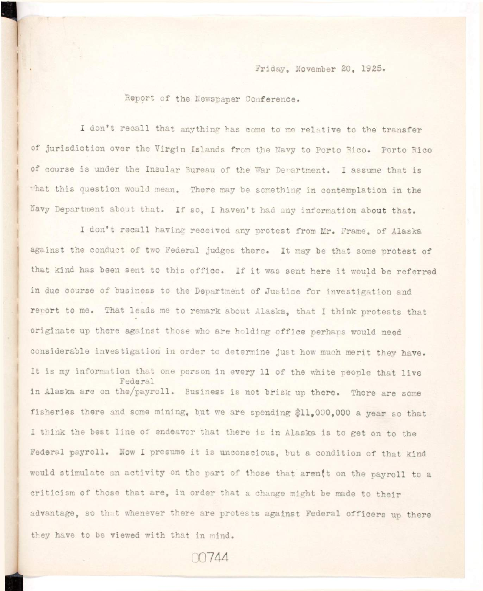Report of the Newspaper Conference.

I don't recall that anything has come to me relative to the transfer **of jurisdiction over the Virgin Islands from the Navy to Porto Rico. Porto Rico**  of course is under the Insular Bureau of the War Department. I assume that is what this question would mean. There may be something in contemplation in the **Navy Department about that. If so, I haven't had any information about that.** 

I don't recall having received any protest from Mr. Frame, of Alaska **against the conduct of two Federal judges there. It may be that some protest of**  that kind has been sent to this office. If it was sent here it would be referred **in due course of business to the Department of Justice for investigation and report to me. That leads me to remark about Alaska, that I think protests that**  originate up there against those who are holding office perhaps would need considerable investigation in order to determine just how much merit they have. It is my information that one person in every 11 of the white people that live in Alaska are on the/payroll. Business is not brisk up there. There are some I think the best line of endeavor that there is in Alaska is to get on to the would stimulate an activity on the part of those that aren(t on the payroll to a criticism of those that are, in order that a change might be made to their advantage, so that whenever there are protests against Federal officers up there they have to be viewed with that in mind.

00744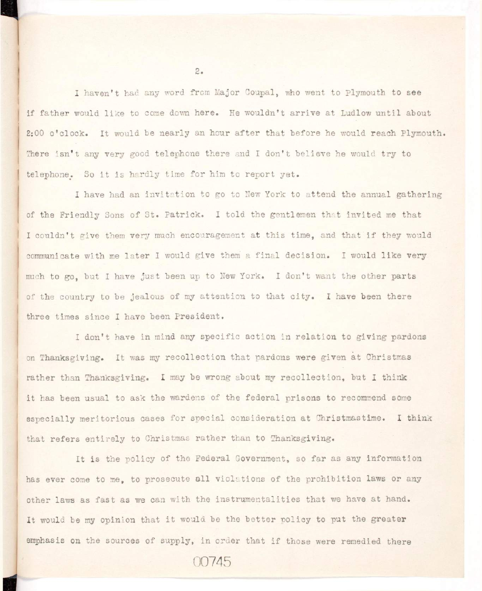**I haven\*t had any word from Major Coupal, who went to Plymouth to see <sup>i</sup> f father would lik e to come down here. He wouldn't arriv e at Ludlow unti l ahout**  2:00 o'clock. It would be nearly an hour after that before he would reach Plymouth. There isn't any very good telephone there and I don't believe he would try to telephone. So it is hardly time for him to report yet.

I have had an invitation to go to New York to attend the annual gathering of the Friendly Sons of St. Patrick. I told the gentlemen that invited me that I couldn't give them very much encouragement at this time, and that if they would communicate with me later I would give them a final decision. I would like very much to go, but I have just been up to New York. I don't want the other parts of the country to be jealous of my attention to that city. I have been there **three times since I have been President.** 

I don't have in mind any specific action in relation to giving pardons on Thanksgiving. It was my recollection that pardons were given at Christmas **rather than Thanksgiving. I may be wrong about my recollection , but I think**  it has been usual to ask the wardens of the federal prisons to recommend some **especially meritorious cases for special consideration at Christmastime. I think that refer s entirel y to Christmas rather than to Thanksgiving.** 

It is the policy of the Federal Government, so far as any information has ever come to me, to prosecute all violations of the prohibition laws or any other laws as fast as we can with the instrumentalities that we have at hand. It would be my opinion that it would be the better policy to put the greater emphasis on the sources of supply, in order that if those were remedied there

 $2.$ 

00745